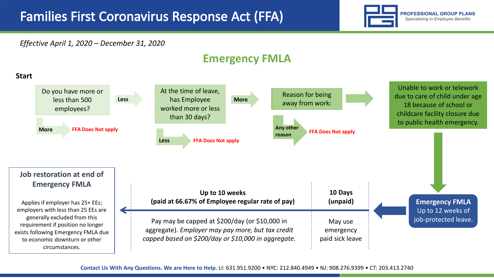

## *Effective April 1, 2020 – December 31, 2020*

## **Emergency FMLA**